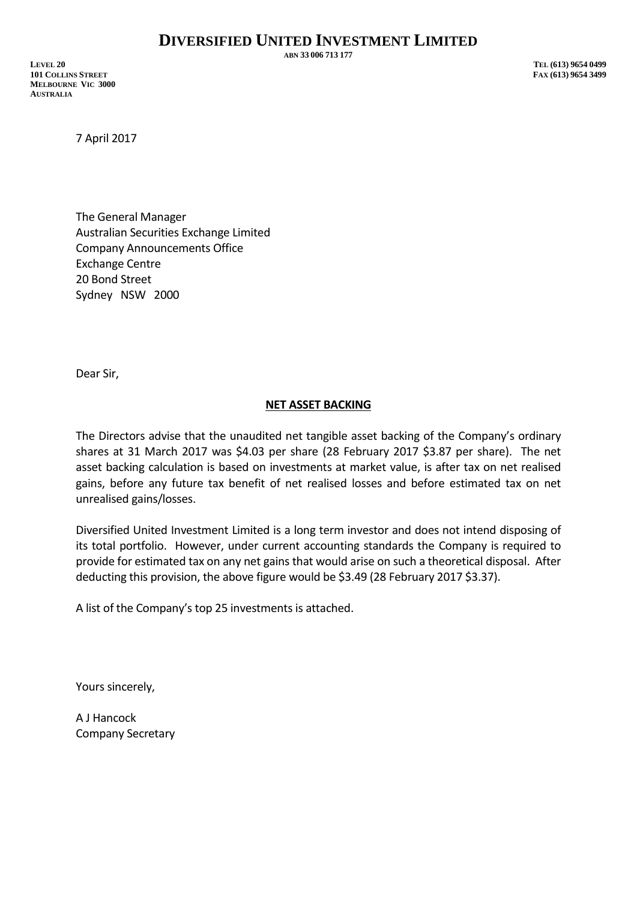**ABN 33 006 713 177**

**LEVEL 20 TEL (613) 9654 0499 101 COLLINS STREET FAX (613) 9654 3499 MELBOURNE VIC 3000 AUSTRALIA**

7 April 2017

The General Manager Australian Securities Exchange Limited Company Announcements Office Exchange Centre 20 Bond Street Sydney NSW 2000

Dear Sir,

## **NET ASSET BACKING**

The Directors advise that the unaudited net tangible asset backing of the Company's ordinary shares at 31 March 2017 was \$4.03 per share (28 February 2017 \$3.87 per share). The net asset backing calculation is based on investments at market value, is after tax on net realised gains, before any future tax benefit of net realised losses and before estimated tax on net unrealised gains/losses.

Diversified United Investment Limited is a long term investor and does not intend disposing of its total portfolio. However, under current accounting standards the Company is required to provide for estimated tax on any net gains that would arise on such a theoretical disposal. After deducting this provision, the above figure would be \$3.49 (28 February 2017 \$3.37).

A list of the Company's top 25 investments is attached.

Yours sincerely,

A J Hancock Company Secretary